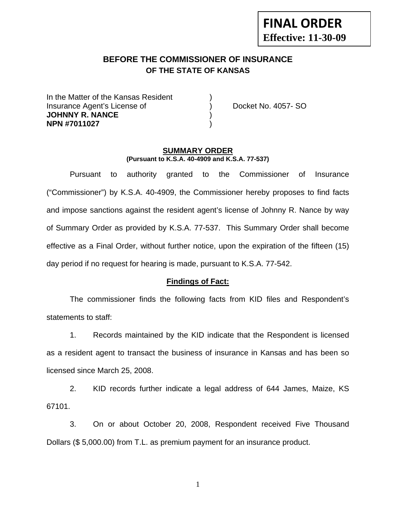# **FINAL ORDER Effective: 11-30-09**

## **BEFORE THE COMMISSIONER OF INSURANCE OF THE STATE OF KANSAS**

In the Matter of the Kansas Resident Insurance Agent's License of ) Docket No. 4057- SO **JOHNNY R. NANCE** ) **NPN #7011027** )

#### **SUMMARY ORDER (Pursuant to K.S.A. 40-4909 and K.S.A. 77-537)**

 Pursuant to authority granted to the Commissioner of Insurance ("Commissioner") by K.S.A. 40-4909, the Commissioner hereby proposes to find facts and impose sanctions against the resident agent's license of Johnny R. Nance by way of Summary Order as provided by K.S.A. 77-537. This Summary Order shall become effective as a Final Order, without further notice, upon the expiration of the fifteen (15) day period if no request for hearing is made, pursuant to K.S.A. 77-542.

#### **Findings of Fact:**

 The commissioner finds the following facts from KID files and Respondent's statements to staff:

 1. Records maintained by the KID indicate that the Respondent is licensed as a resident agent to transact the business of insurance in Kansas and has been so licensed since March 25, 2008.

 2. KID records further indicate a legal address of 644 James, Maize, KS 67101.

 3. On or about October 20, 2008, Respondent received Five Thousand Dollars (\$ 5,000.00) from T.L. as premium payment for an insurance product.

1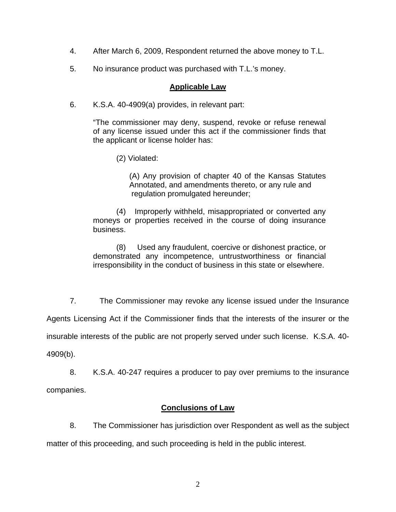- 4. After March 6, 2009, Respondent returned the above money to T.L.
- 5. No insurance product was purchased with T.L.'s money.

#### **Applicable Law**

6. K.S.A. 40-4909(a) provides, in relevant part:

"The commissioner may deny, suspend, revoke or refuse renewal of any license issued under this act if the commissioner finds that the applicant or license holder has:

(2) Violated:

 (A) Any provision of chapter 40 of the Kansas Statutes Annotated, and amendments thereto, or any rule and regulation promulgated hereunder;

 (4) Improperly withheld, misappropriated or converted any moneys or properties received in the course of doing insurance business.

 (8) Used any fraudulent, coercive or dishonest practice, or demonstrated any incompetence, untrustworthiness or financial irresponsibility in the conduct of business in this state or elsewhere.

 7. The Commissioner may revoke any license issued under the Insurance Agents Licensing Act if the Commissioner finds that the interests of the insurer or the insurable interests of the public are not properly served under such license. K.S.A. 40- 4909(b).

 8. K.S.A. 40-247 requires a producer to pay over premiums to the insurance companies.

### **Conclusions of Law**

 8. The Commissioner has jurisdiction over Respondent as well as the subject matter of this proceeding, and such proceeding is held in the public interest.

2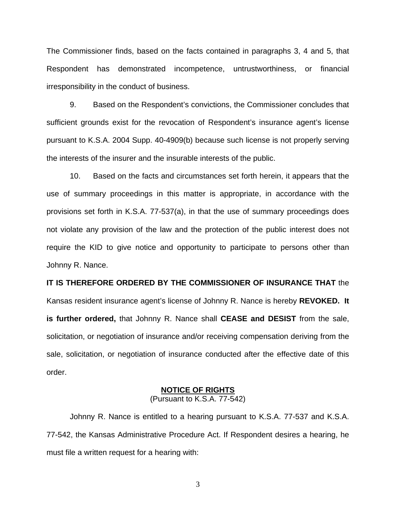The Commissioner finds, based on the facts contained in paragraphs 3, 4 and 5, that Respondent has demonstrated incompetence, untrustworthiness, or financial irresponsibility in the conduct of business.

 9. Based on the Respondent's convictions, the Commissioner concludes that sufficient grounds exist for the revocation of Respondent's insurance agent's license pursuant to K.S.A. 2004 Supp. 40-4909(b) because such license is not properly serving the interests of the insurer and the insurable interests of the public.

 10. Based on the facts and circumstances set forth herein, it appears that the use of summary proceedings in this matter is appropriate, in accordance with the provisions set forth in K.S.A. 77-537(a), in that the use of summary proceedings does not violate any provision of the law and the protection of the public interest does not require the KID to give notice and opportunity to participate to persons other than Johnny R. Nance.

# **IT IS THEREFORE ORDERED BY THE COMMISSIONER OF INSURANCE THAT** the Kansas resident insurance agent's license of Johnny R. Nance is hereby **REVOKED. It is further ordered,** that Johnny R. Nance shall **CEASE and DESIST** from the sale, solicitation, or negotiation of insurance and/or receiving compensation deriving from the sale, solicitation, or negotiation of insurance conducted after the effective date of this order.

#### **NOTICE OF RIGHTS**

(Pursuant to K.S.A. 77-542)

Johnny R. Nance is entitled to a hearing pursuant to K.S.A. 77-537 and K.S.A. 77-542, the Kansas Administrative Procedure Act. If Respondent desires a hearing, he must file a written request for a hearing with:

3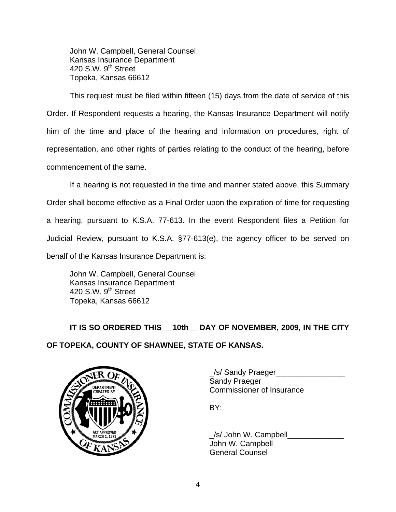John W. Campbell, General Counsel Kansas Insurance Department 420 S.W.  $9<sup>th</sup>$  Street Topeka, Kansas 66612

This request must be filed within fifteen (15) days from the date of service of this Order. If Respondent requests a hearing, the Kansas Insurance Department will notify him of the time and place of the hearing and information on procedures, right of representation, and other rights of parties relating to the conduct of the hearing, before commencement of the same.

If a hearing is not requested in the time and manner stated above, this Summary Order shall become effective as a Final Order upon the expiration of time for requesting a hearing, pursuant to K.S.A. 77-613. In the event Respondent files a Petition for Judicial Review, pursuant to K.S.A. §77-613(e), the agency officer to be served on behalf of the Kansas Insurance Department is:

 John W. Campbell, General Counsel Kansas Insurance Department 420 S.W.  $9<sup>th</sup>$  Street Topeka, Kansas 66612

IT IS SO ORDERED THIS 10th DAY OF NOVEMBER, 2009, IN THE CITY **OF TOPEKA, COUNTY OF SHAWNEE, STATE OF KANSAS.** 



\_/s/ Sandy Praeger\_\_\_\_\_\_\_\_\_\_\_\_\_\_\_\_ PARTMENT **WAN** Commissioner of Insurance

/s/ John W. Campbell John W. Campbell General Counsel